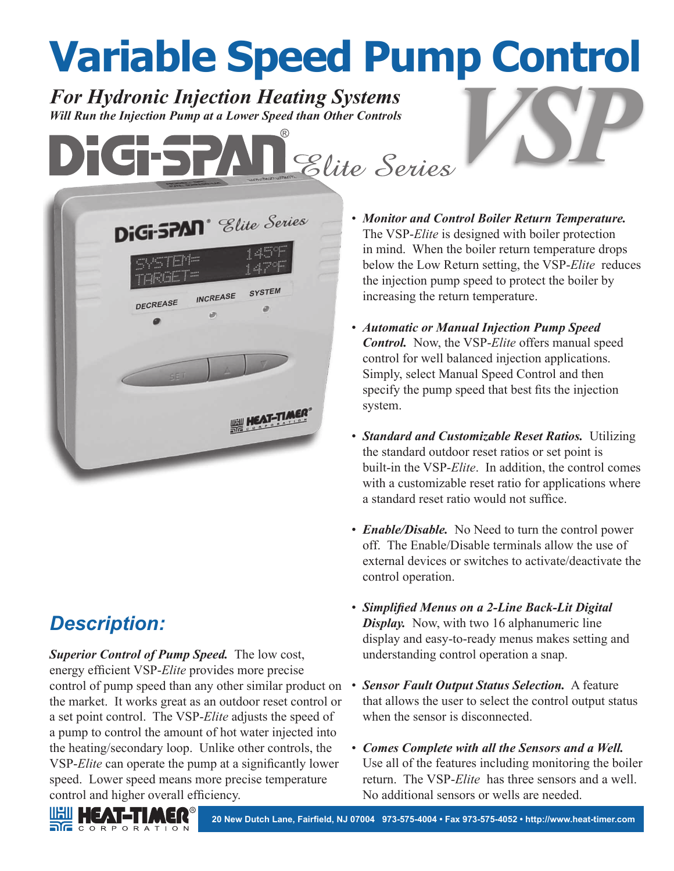## **Variable Speed Pump Control**

*For Hydronic Injection Heating Systems For Hydronic Injection Heating Systems*<br>
Will Run the Injection Pump at a Lower Speed than Other Controls



## *Description:*

*Superior Control of Pump Speed.* The low cost, energy efficient VSP-*Elite* provides more precise control of pump speed than any other similar product on the market. It works great as an outdoor reset control or a set point control. The VSP-*Elite* adjusts the speed of a pump to control the amount of hot water injected into the heating/secondary loop. Unlike other controls, the VSP-*Elite* can operate the pump at a significantly lower speed. Lower speed means more precise temperature control and higher overall efficiency.

- *Monitor and Control Boiler Return Temperature.* The VSP-*Elite* is designed with boiler protection in mind. When the boiler return temperature drops below the Low Return setting, the VSP-*Elite* reduces the injection pump speed to protect the boiler by increasing the return temperature.
- *Automatic or Manual Injection Pump Speed Control.* Now, the VSP-*Elite* offers manual speed control for well balanced injection applications. Simply, select Manual Speed Control and then specify the pump speed that best fits the injection system.
- *Standard and Customizable Reset Ratios.* Utilizing the standard outdoor reset ratios or set point is built-in the VSP-*Elite*. In addition, the control comes with a customizable reset ratio for applications where a standard reset ratio would not suffice.
- *Enable/Disable.* No Need to turn the control power off. The Enable/Disable terminals allow the use of external devices or switches to activate/deactivate the control operation.
- *Simplified Menus on a 2-Line Back-Lit Digital Display.* Now, with two 16 alphanumeric line display and easy-to-ready menus makes setting and understanding control operation a snap.
- *Sensor Fault Output Status Selection.* A feature that allows the user to select the control output status when the sensor is disconnected.
- *Comes Complete with all the Sensors and a Well.* Use all of the features including monitoring the boiler return. The VSP-*Elite* has three sensors and a well. No additional sensors or wells are needed.